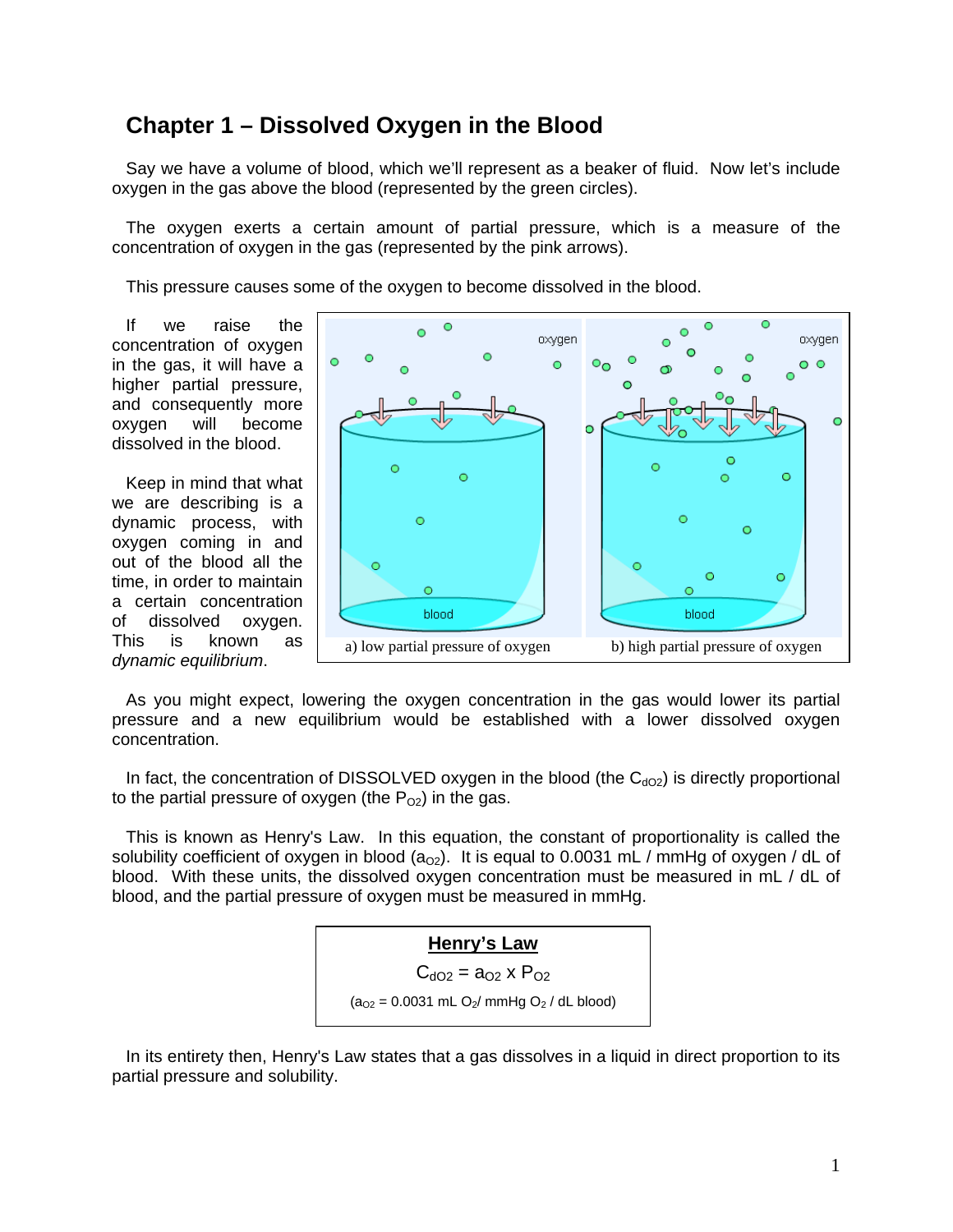## **Chapter 1 – Dissolved Oxygen in the Blood**

Say we have a volume of blood, which we'll represent as a beaker of fluid. Now let's include oxygen in the gas above the blood (represented by the green circles).

The oxygen exerts a certain amount of partial pressure, which is a measure of the concentration of oxygen in the gas (represented by the pink arrows).

This pressure causes some of the oxygen to become dissolved in the blood.

If we raise the concentration of oxygen in the gas, it will have a higher partial pressure, and consequently more oxygen will become dissolved in the blood.

Keep in mind that what we are describing is a dynamic process, with oxygen coming in and out of the blood all the time, in order to maintain a certain concentration of dissolved oxygen. This is known as



As you might expect, lowering the oxygen concentration in the gas would lower its partial pressure and a new equilibrium would be established with a lower dissolved oxygen concentration.

In fact, the concentration of DISSOLVED oxygen in the blood (the  $C_{dO2}$ ) is directly proportional to the partial pressure of oxygen (the  $P_{02}$ ) in the gas.

This is known as Henry's Law. In this equation, the constant of proportionality is called the solubility coefficient of oxygen in blood  $(a_{02})$ . It is equal to 0.0031 mL / mmHg of oxygen / dL of blood. With these units, the dissolved oxygen concentration must be measured in mL / dL of blood, and the partial pressure of oxygen must be measured in mmHg.



In its entirety then, Henry's Law states that a gas dissolves in a liquid in direct proportion to its partial pressure and solubility.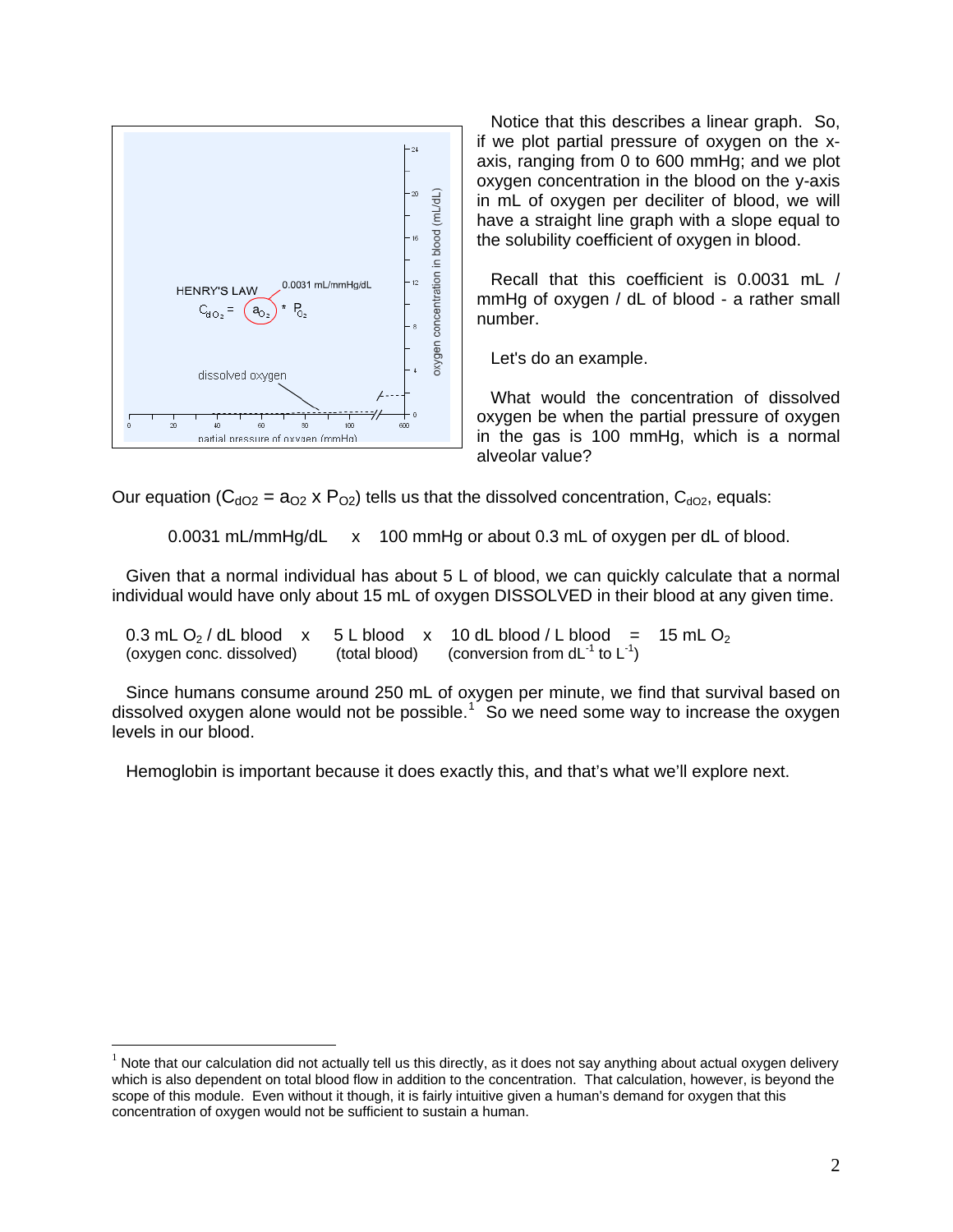

 $\overline{a}$ 

Notice that this describes a linear graph. So, if we plot partial pressure of oxygen on the xaxis, ranging from 0 to 600 mmHg; and we plot oxygen concentration in the blood on the y-axis in mL of oxygen per deciliter of blood, we will have a straight line graph with a slope equal to the solubility coefficient of oxygen in blood.

Recall that this coefficient is 0.0031 mL / mmHg of oxygen / dL of blood - a rather small number.

Let's do an example.

What would the concentration of dissolved oxygen be when the partial pressure of oxygen in the gas is 100 mmHg, which is a normal alveolar value?

Our equation ( $C_{dO2}$  = a<sub>O2</sub> x P<sub>O2</sub>) tells us that the dissolved concentration,  $C_{dO2}$ , equals:

0.0031 mL/mmHg/dL x 100 mmHg or about 0.3 mL of oxygen per dL of blood.

Given that a normal individual has about 5 L of blood, we can quickly calculate that a normal individual would have only about 15 mL of oxygen DISSOLVED in their blood at any given time.

0.3 mL O<sub>2</sub> / dL blood x 5 L blood x 10 dL blood / L blood = 15 mL O<sub>2</sub> (oxygen conc. dissolved) (total blood) (conversion from dL<sup>-1</sup> to L<sup>-1</sup>) (conversion from  $dL^{-1}$  to  $L^{-1}$ )

Since humans consume around 250 mL of oxygen per minute, we find that survival based on dissolved oxygen alone would not be possible.<sup>[1](#page-1-0)</sup> So we need some way to increase the oxygen levels in our blood.

Hemoglobin is important because it does exactly this, and that's what we'll explore next.

<span id="page-1-0"></span> $1$  Note that our calculation did not actually tell us this directly, as it does not say anything about actual oxygen delivery which is also dependent on total blood flow in addition to the concentration. That calculation, however, is beyond the scope of this module. Even without it though, it is fairly intuitive given a human's demand for oxygen that this concentration of oxygen would not be sufficient to sustain a human.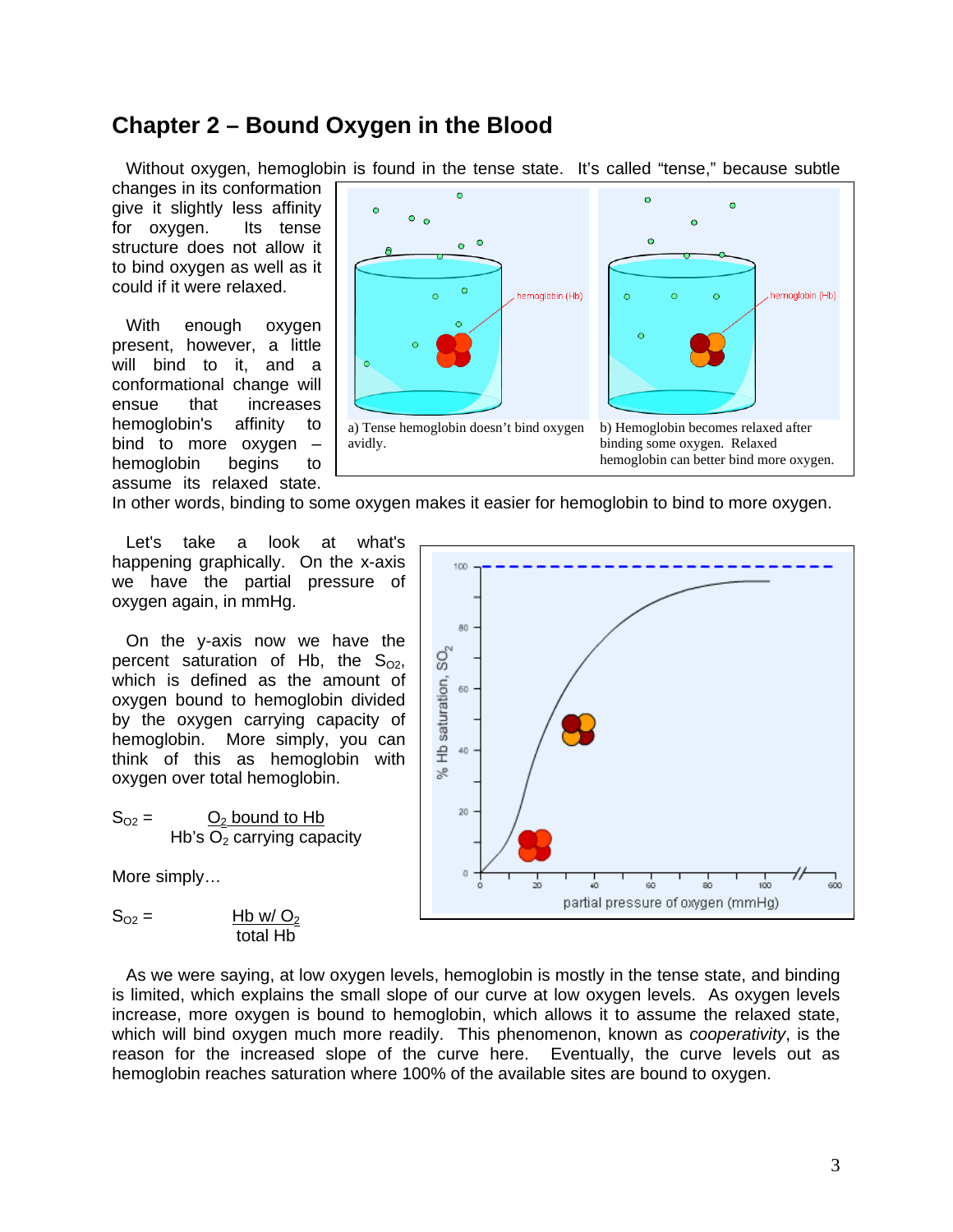## **Chapter 2 – Bound Oxygen in the Blood**

Without oxygen, hemoglobin is found in the tense state. It's called "tense," because subtle

changes in its conformation give it slightly less affinity for oxygen. Its tense structure does not allow it to bind oxygen as well as it could if it were relaxed.

With enough oxygen present, however, a little will bind to it, and a conformational change will ensue that increases hemoglobin's affinity to bind to more oxygen – hemoglobin begins to assume its relaxed state.



In other words, binding to some oxygen makes it easier for hemoglobin to bind to more oxygen.

Let's take a look at what's happening graphically. On the x-axis we have the partial pressure of oxygen again, in mmHg.

On the y-axis now we have the percent saturation of Hb, the  $S_{02}$ , which is defined as the amount of oxygen bound to hemoglobin divided by the oxygen carrying capacity of hemoglobin. More simply, you can think of this as hemoglobin with oxygen over total hemoglobin.

 $S_{O2} =$   $O_2$  bound to Hb Hb's  $O<sub>2</sub>$  carrying capacity

More simply…

$$
S_{O2} = \frac{Hb \text{ w}/Q_2}{\text{total Hb}}
$$



As we were saying, at low oxygen levels, hemoglobin is mostly in the tense state, and binding is limited, which explains the small slope of our curve at low oxygen levels. As oxygen levels increase, more oxygen is bound to hemoglobin, which allows it to assume the relaxed state, which will bind oxygen much more readily. This phenomenon, known as *cooperativity*, is the reason for the increased slope of the curve here. Eventually, the curve levels out as hemoglobin reaches saturation where 100% of the available sites are bound to oxygen.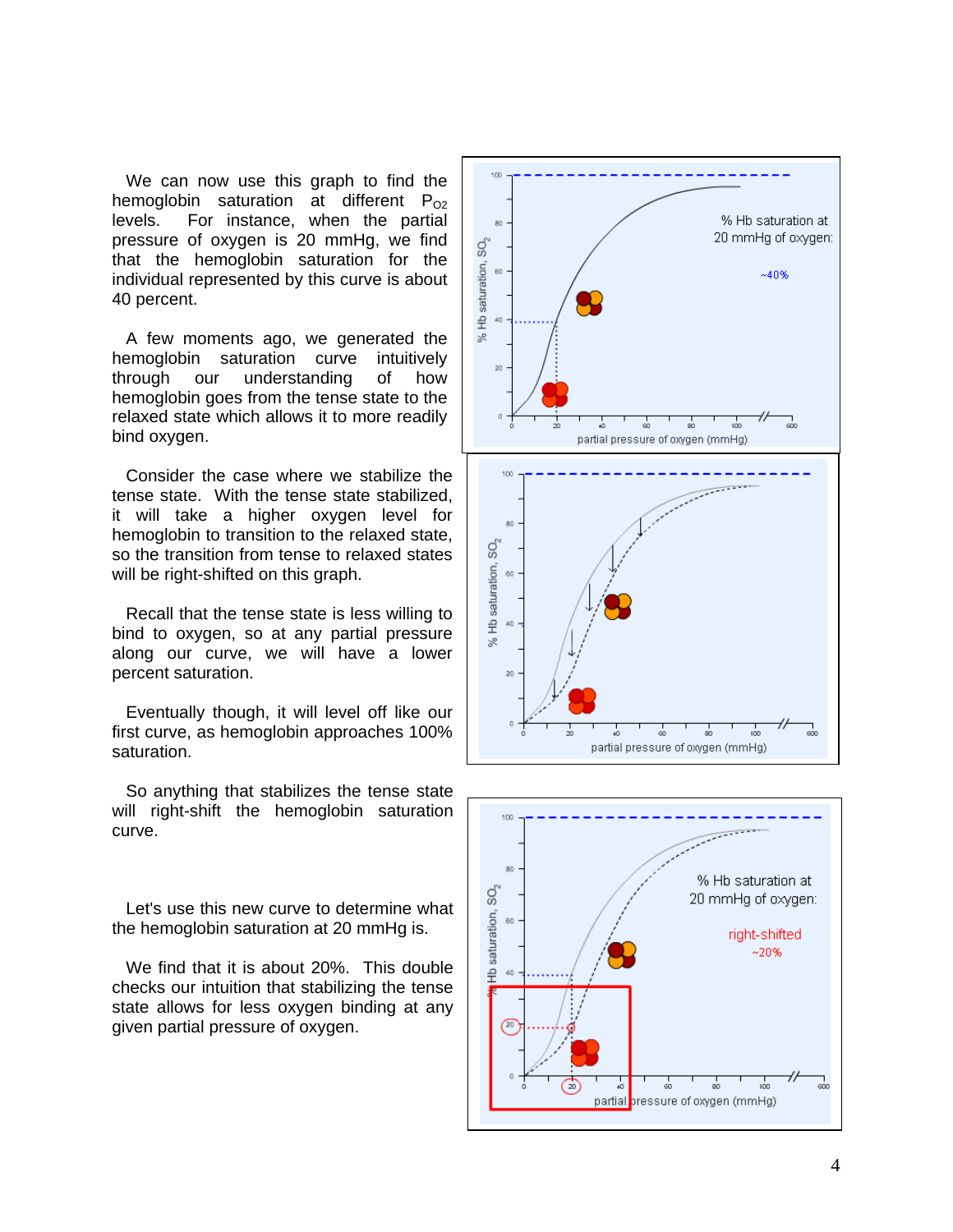We can now use this graph to find the hemoglobin saturation at different  $P_{02}$ levels. For instance, when the partial pressure of oxygen is 20 mmHg, we find that the hemoglobin saturation for the individual represented by this curve is about 40 percent.

A few moments ago, we generated the hemoglobin saturation curve intuitively through our understanding of how hemoglobin goes from the tense state to the relaxed state which allows it to more readily bind oxygen.

Consider the case where we stabilize the tense state. With the tense state stabilized, it will take a higher oxygen level for hemoglobin to transition to the relaxed state, so the transition from tense to relaxed states will be right-shifted on this graph.

Recall that the tense state is less willing to bind to oxygen, so at any partial pressure along our curve, we will have a lower percent saturation.

Eventually though, it will level off like our first curve, as hemoglobin approaches 100% saturation.

So anything that stabilizes the tense state will right-shift the hemoglobin saturation curve.

Let's use this new curve to determine what the hemoglobin saturation at 20 mmHg is.

We find that it is about 20%. This double checks our intuition that stabilizing the tense state allows for less oxygen binding at any given partial pressure of oxygen.



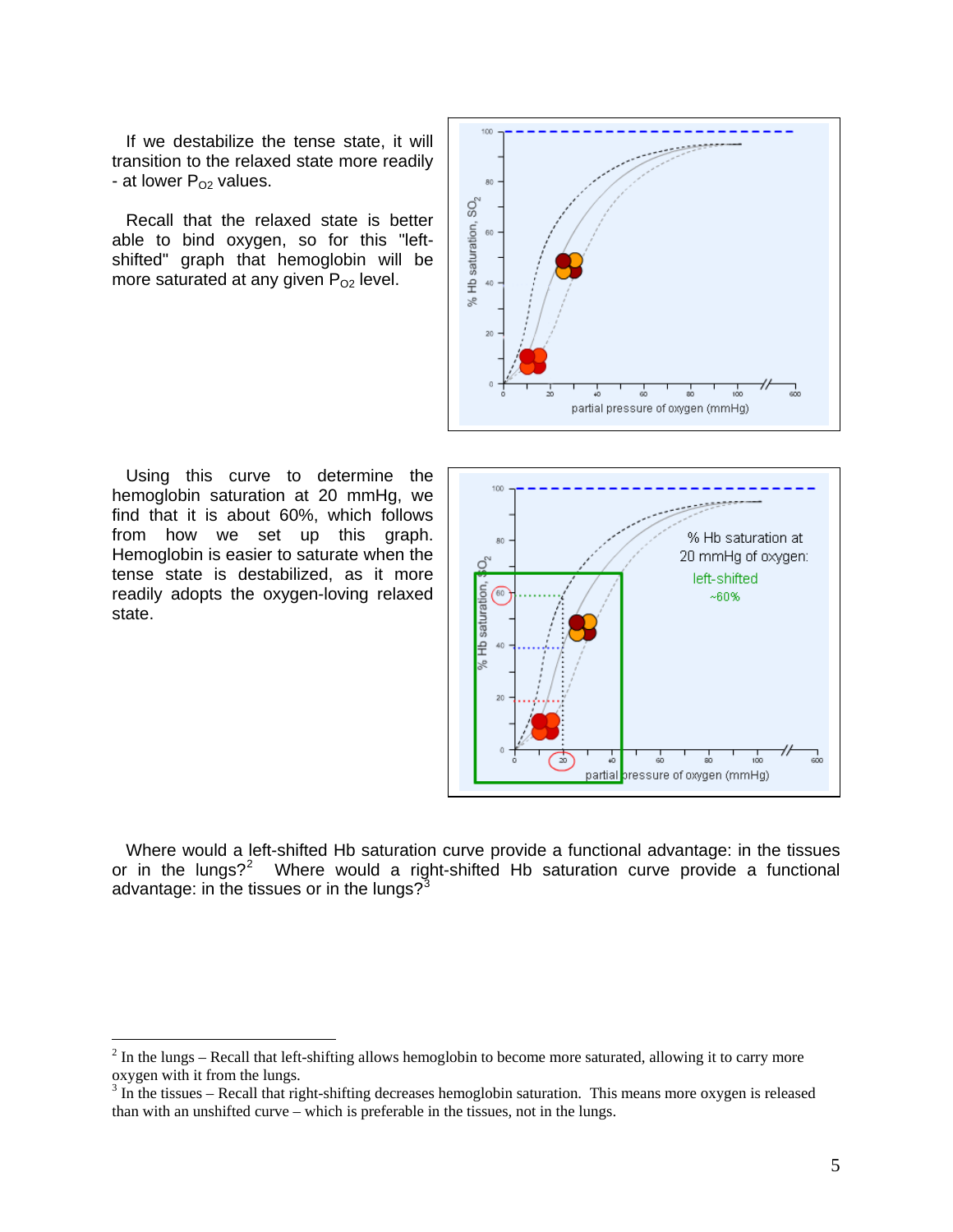If we destabilize the tense state, it will transition to the relaxed state more readily - at lower  $P_{O2}$  values.

Recall that the relaxed state is better able to bind oxygen, so for this "leftshifted" graph that hemoglobin will be more saturated at any given  $P_{O2}$  level.



Using this curve to determine the hemoglobin saturation at 20 mmHg, we find that it is about 60%, which follows from how we set up this graph. Hemoglobin is easier to saturate when the tense state is destabilized, as it more readily adopts the oxygen-loving relaxed state.

 $\overline{a}$ 



Where would a left-shifted Hb saturation curve provide a functional advantage: in the tissues or in the lungs?<sup>[2](#page-4-0)</sup> Where would a right-shifted Hb saturation curve provide a functional advantage: in the tissues or in the lungs? $3^3$  $3^3$ 

<span id="page-4-0"></span> $2^{2}$  In the lungs – Recall that left-shifting allows hemoglobin to become more saturated, allowing it to carry more oxygen with it from the lungs.

<span id="page-4-1"></span> $3 \text{ In the tissues}$  – Recall that right-shifting decreases hemoglobin saturation. This means more oxygen is released than with an unshifted curve – which is preferable in the tissues, not in the lungs.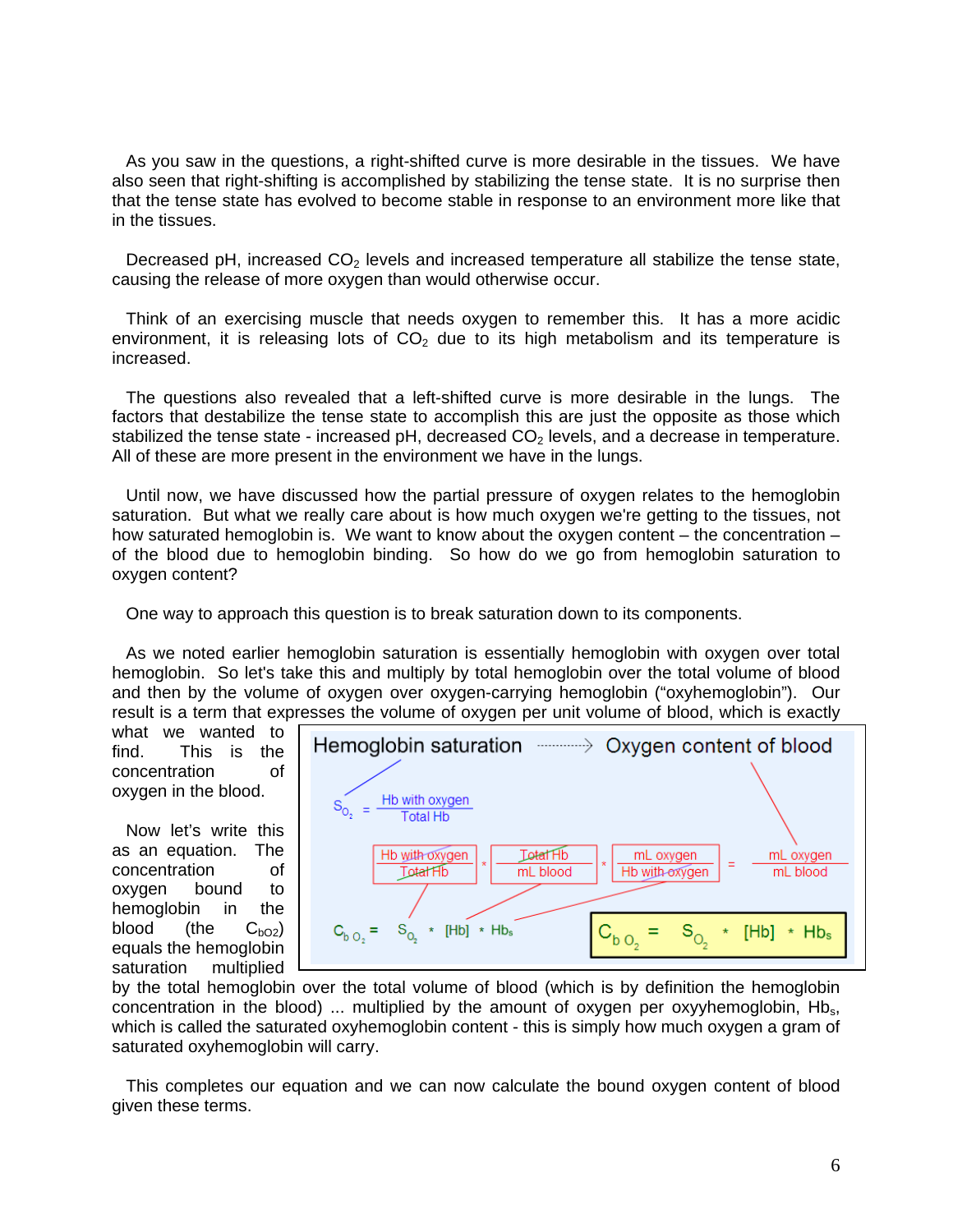As you saw in the questions, a right-shifted curve is more desirable in the tissues. We have also seen that right-shifting is accomplished by stabilizing the tense state. It is no surprise then that the tense state has evolved to become stable in response to an environment more like that in the tissues.

Decreased pH, increased  $CO<sub>2</sub>$  levels and increased temperature all stabilize the tense state, causing the release of more oxygen than would otherwise occur.

Think of an exercising muscle that needs oxygen to remember this. It has a more acidic environment, it is releasing lots of  $CO<sub>2</sub>$  due to its high metabolism and its temperature is increased.

The questions also revealed that a left-shifted curve is more desirable in the lungs. The factors that destabilize the tense state to accomplish this are just the opposite as those which stabilized the tense state - increased pH, decreased  $CO<sub>2</sub>$  levels, and a decrease in temperature. All of these are more present in the environment we have in the lungs.

Until now, we have discussed how the partial pressure of oxygen relates to the hemoglobin saturation. But what we really care about is how much oxygen we're getting to the tissues, not how saturated hemoglobin is. We want to know about the oxygen content – the concentration – of the blood due to hemoglobin binding. So how do we go from hemoglobin saturation to oxygen content?

One way to approach this question is to break saturation down to its components.

As we noted earlier hemoglobin saturation is essentially hemoglobin with oxygen over total hemoglobin. So let's take this and multiply by total hemoglobin over the total volume of blood and then by the volume of oxygen over oxygen-carrying hemoglobin ("oxyhemoglobin"). Our result is a term that expresses the volume of oxygen per unit volume of blood, which is exactly

what we wanted to find. This is the concentration of oxygen in the blood.

Now let's write this as an equation. The concentration of oxygen bound to hemoglobin in the blood (the  $C_{bO2}$ ) equals the hemoglobin saturation multiplied



by the total hemoglobin over the total volume of blood (which is by definition the hemoglobin concentration in the blood) ... multiplied by the amount of oxygen per oxyyhemoglobin,  $Hb<sub>s</sub>$ , which is called the saturated oxyhemoglobin content - this is simply how much oxygen a gram of saturated oxyhemoglobin will carry.

This completes our equation and we can now calculate the bound oxygen content of blood given these terms.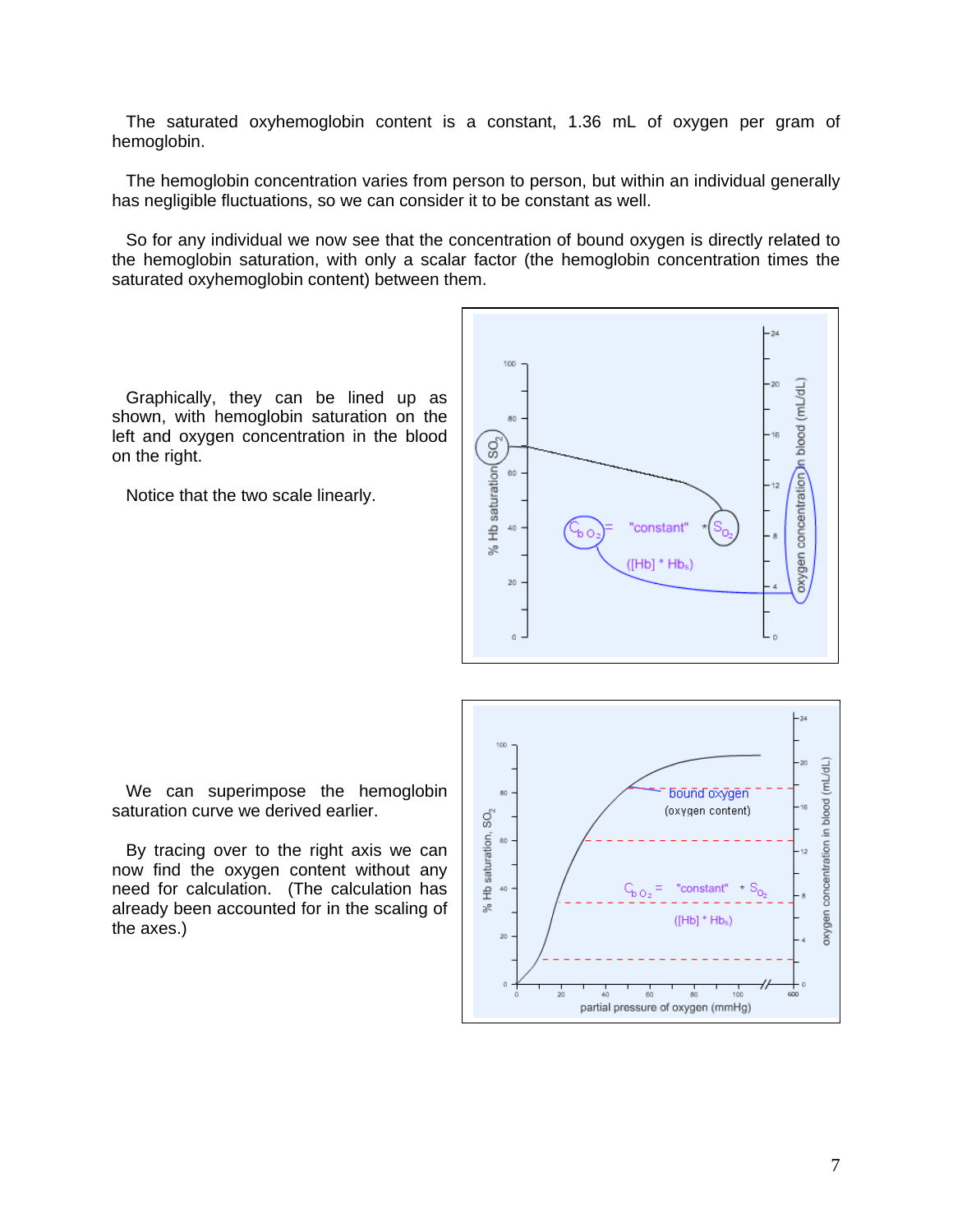The saturated oxyhemoglobin content is a constant, 1.36 mL of oxygen per gram of hemoglobin.

The hemoglobin concentration varies from person to person, but within an individual generally has negligible fluctuations, so we can consider it to be constant as well.

So for any individual we now see that the concentration of bound oxygen is directly related to the hemoglobin saturation, with only a scalar factor (the hemoglobin concentration times the saturated oxyhemoglobin content) between them.

Graphically, they can be lined up as shown, with hemoglobin saturation on the left and oxygen concentration in the blood on the right.

Notice that the two scale linearly.



We can superimpose the hemoglobin saturation curve we derived earlier.

By tracing over to the right axis we can now find the oxygen content without any need for calculation. (The calculation has already been accounted for in the scaling of the axes.)

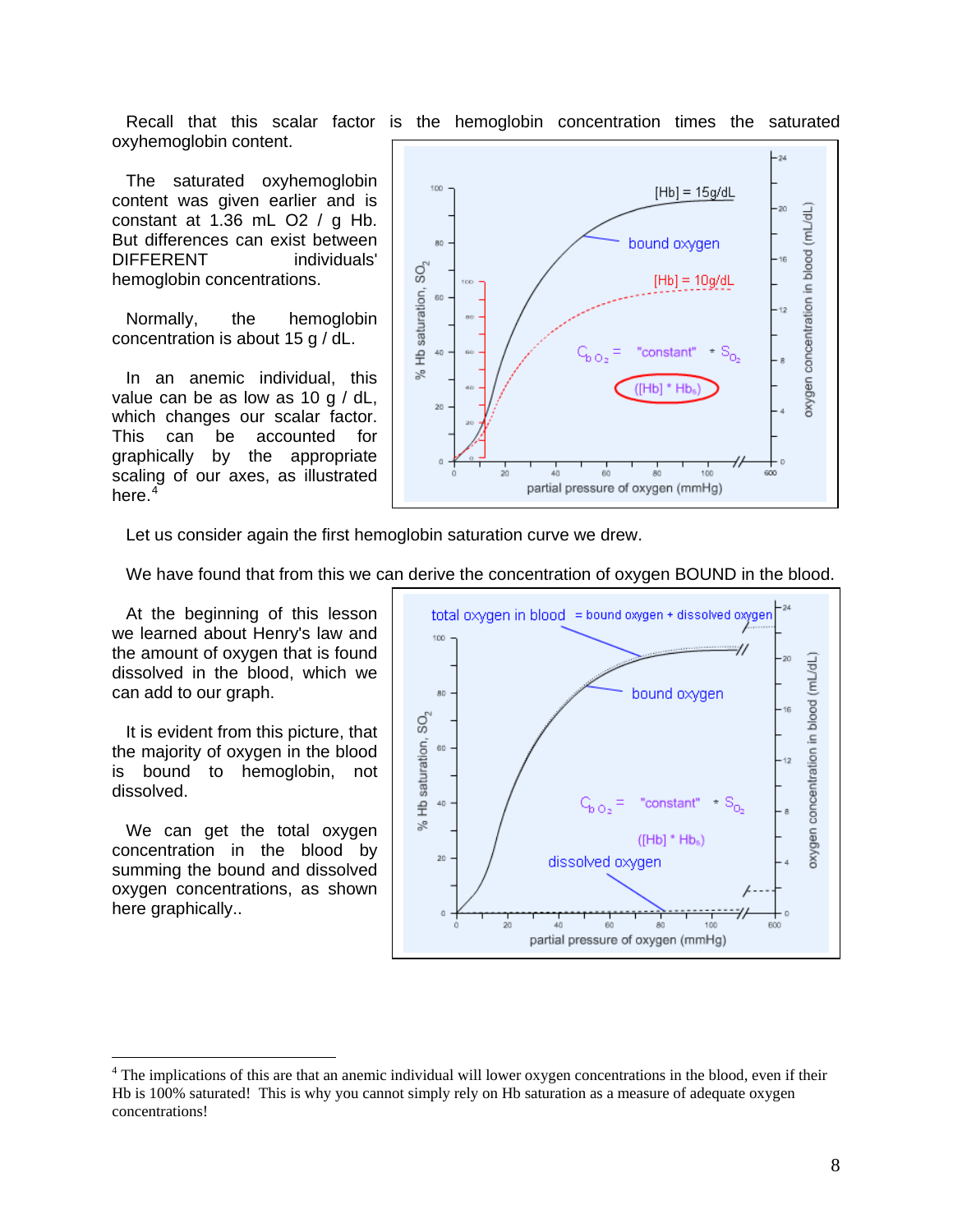oxyhemoglobin content.

The saturated oxyhemoglobin content was given earlier and is constant at 1.36 mL O2 / g Hb. But differences can exist between DIFFERENT individuals' hemoglobin concentrations.

Normally, the hemoglobin concentration is about 15 g / dL.

In an anemic individual, this value can be as low as 10 g / dL, which changes our scalar factor. This can be accounted for graphically by the appropriate scaling of our axes, as illustrated here.<sup>[4](#page-7-0)</sup>



Let us consider again the first hemoglobin saturation curve we drew.

We have found that from this we can derive the concentration of oxygen BOUND in the blood.

At the beginning of this lesson we learned about Henry's law and the amount of oxygen that is found dissolved in the blood, which we can add to our graph.

It is evident from this picture, that the majority of oxygen in the blood is bound to hemoglobin, not dissolved.

We can get the total oxygen concentration in the blood by summing the bound and dissolved oxygen concentrations, as shown here graphically..

 $\overline{a}$ 



Recall that this scalar factor is the hemoglobin concentration times the saturated

<span id="page-7-0"></span> $4$  The implications of this are that an anemic individual will lower oxygen concentrations in the blood, even if their Hb is 100% saturated! This is why you cannot simply rely on Hb saturation as a measure of adequate oxygen concentrations!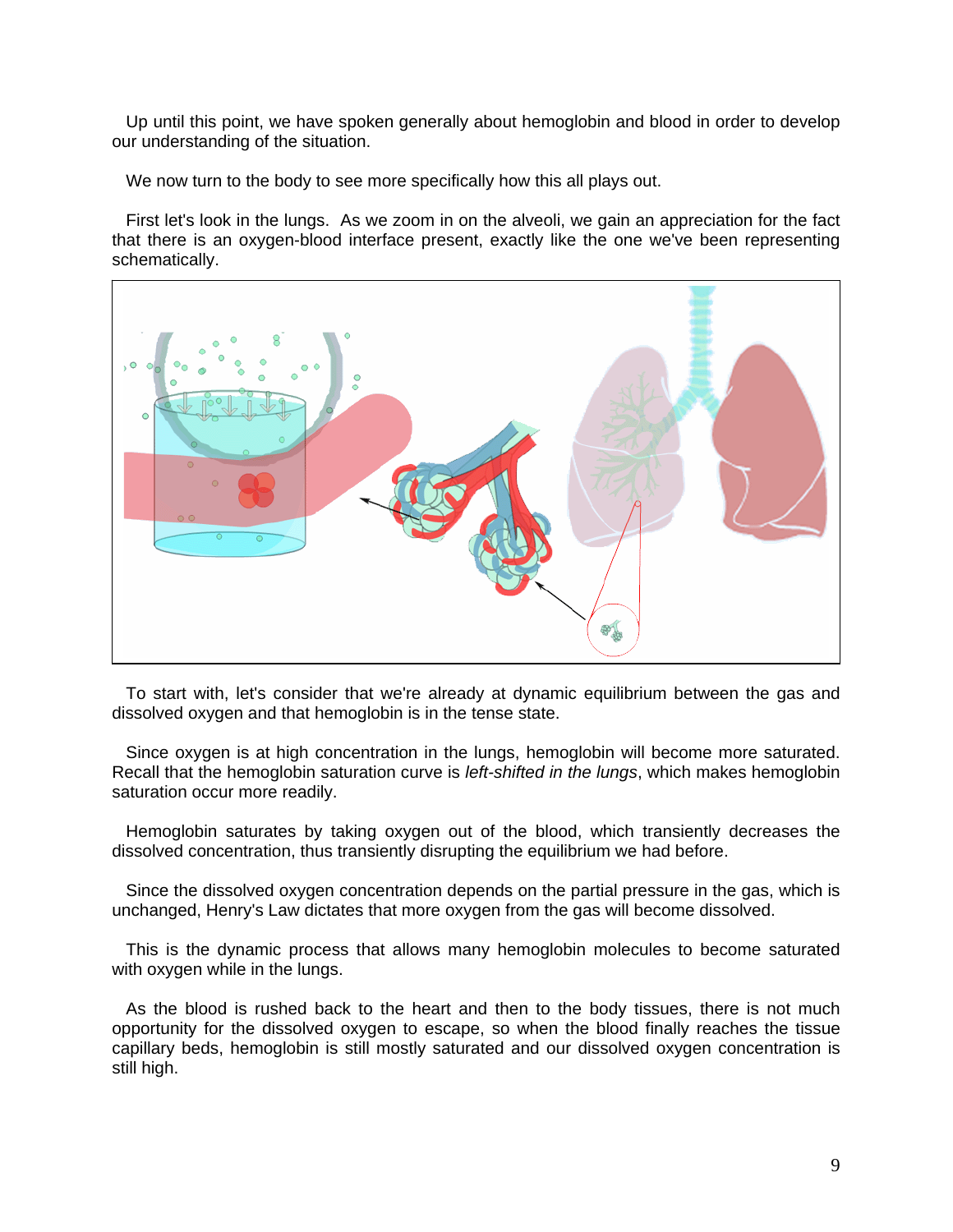Up until this point, we have spoken generally about hemoglobin and blood in order to develop our understanding of the situation.

We now turn to the body to see more specifically how this all plays out.

First let's look in the lungs. As we zoom in on the alveoli, we gain an appreciation for the fact that there is an oxygen-blood interface present, exactly like the one we've been representing schematically.



To start with, let's consider that we're already at dynamic equilibrium between the gas and dissolved oxygen and that hemoglobin is in the tense state.

Since oxygen is at high concentration in the lungs, hemoglobin will become more saturated. Recall that the hemoglobin saturation curve is *left-shifted in the lungs*, which makes hemoglobin saturation occur more readily.

Hemoglobin saturates by taking oxygen out of the blood, which transiently decreases the dissolved concentration, thus transiently disrupting the equilibrium we had before.

Since the dissolved oxygen concentration depends on the partial pressure in the gas, which is unchanged, Henry's Law dictates that more oxygen from the gas will become dissolved.

This is the dynamic process that allows many hemoglobin molecules to become saturated with oxygen while in the lungs.

As the blood is rushed back to the heart and then to the body tissues, there is not much opportunity for the dissolved oxygen to escape, so when the blood finally reaches the tissue capillary beds, hemoglobin is still mostly saturated and our dissolved oxygen concentration is still high.